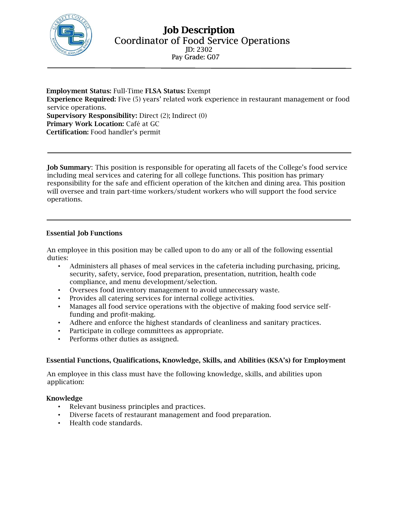

Employment Status: Full-Time FLSA Status: Exempt Experience Required: Five (5) years' related work experience in restaurant management or food service operations. Supervisory Responsibility: Direct (2); Indirect (0) Primary Work Location: Café at GC Certification: Food handler's permit

Job Summary: This position is responsible for operating all facets of the College's food service including meal services and catering for all college functions. This position has primary responsibility for the safe and efficient operation of the kitchen and dining area. This position will oversee and train part-time workers/student workers who will support the food service operations.

### Essential Job Functions

An employee in this position may be called upon to do any or all of the following essential duties:

- Administers all phases of meal services in the cafeteria including purchasing, pricing, security, safety, service, food preparation, presentation, nutrition, health code compliance, and menu development/selection.
- Oversees food inventory management to avoid unnecessary waste.
- Provides all catering services for internal college activities.
- Manages all food service operations with the objective of making food service selffunding and profit-making.
- Adhere and enforce the highest standards of cleanliness and sanitary practices.
- Participate in college committees as appropriate.
- Performs other duties as assigned.

## Essential Functions, Qualifications, Knowledge, Skills, and Abilities (KSA's) for Employment

An employee in this class must have the following knowledge, skills, and abilities upon application:

#### Knowledge

- Relevant business principles and practices.
- Diverse facets of restaurant management and food preparation.
- Health code standards.